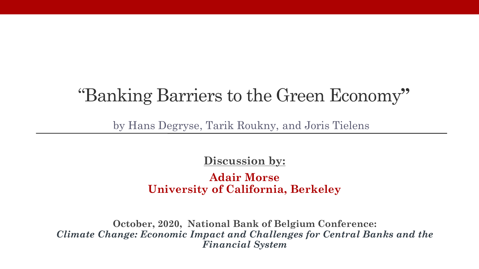#### "Banking Barriers to the Green Economy**"**

by Hans Degryse, Tarik Roukny, and Joris Tielens

**Discussion by:** 

**Adair Morse University of California, Berkeley**

**October, 2020, National Bank of Belgium Conference:** *Climate Change: Economic Impact and Challenges for Central Banks and the Financial System*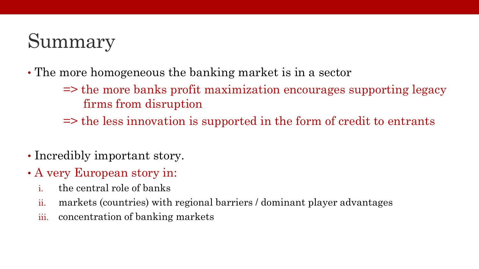# Summary

- The more homogeneous the banking market is in a sector
	- => the more banks profit maximization encourages supporting legacy firms from disruption
	- => the less innovation is supported in the form of credit to entrants
- Incredibly important story.
- A very European story in:
	- i. the central role of banks
	- ii. markets (countries) with regional barriers / dominant player advantages
	- iii. concentration of banking markets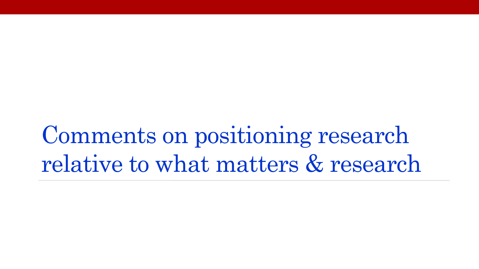Comments on positioning research relative to what matters & research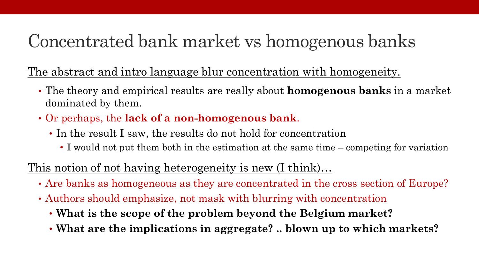#### Concentrated bank market vs homogenous banks

The abstract and intro language blur concentration with homogeneity.

- The theory and empirical results are really about **homogenous banks** in a market dominated by them.
- Or perhaps, the **lack of a non-homogenous bank**.
	- In the result I saw, the results do not hold for concentration
		- I would not put them both in the estimation at the same time competing for variation

#### This notion of not having heterogeneity is new (I think)...

- Are banks as homogeneous as they are concentrated in the cross section of Europe?
- Authors should emphasize, not mask with blurring with concentration
	- **What is the scope of the problem beyond the Belgium market?**
	- **What are the implications in aggregate? .. blown up to which markets?**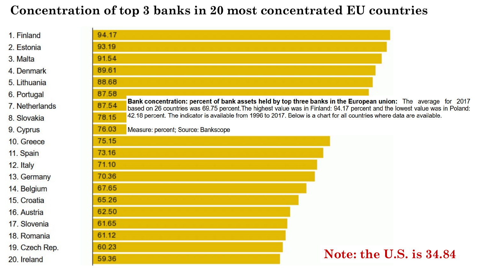#### **Concentration of top 3 banks in 20 most concentrated EU countries**

| 1. Finland     | 94.17                                                                                                                                                                                                                                                   |  |  |
|----------------|---------------------------------------------------------------------------------------------------------------------------------------------------------------------------------------------------------------------------------------------------------|--|--|
| 2. Estonia     | 93.19                                                                                                                                                                                                                                                   |  |  |
| 3. Malta       | 91.54                                                                                                                                                                                                                                                   |  |  |
| 4. Denmark     | 89.61                                                                                                                                                                                                                                                   |  |  |
| 5. Lithuania   | 88.68                                                                                                                                                                                                                                                   |  |  |
| 6. Portugal    | 87.58                                                                                                                                                                                                                                                   |  |  |
| 7. Netherlands | Bank concentration: percent of bank assets held by top three banks in the European union: The average for 2017<br>87.54<br>based on 26 countries was 69.75 percent. The highest value was in Finland: 94.17 percent and the lowest value was in Poland: |  |  |
| 8. Slovakia    | 42.18 percent. The indicator is available from 1996 to 2017. Below is a chart for all countries where data are available.<br>78.15                                                                                                                      |  |  |
| 9. Cyprus      | 76.03<br>Measure: percent; Source: Bankscope                                                                                                                                                                                                            |  |  |
| 10. Greece     | 75.15                                                                                                                                                                                                                                                   |  |  |
| 11. Spain      | 73.16                                                                                                                                                                                                                                                   |  |  |
| 12. Italy      | 71.10                                                                                                                                                                                                                                                   |  |  |
| 13. Germany    | 70.36                                                                                                                                                                                                                                                   |  |  |
| 14. Belgium    | 67.65                                                                                                                                                                                                                                                   |  |  |
| 15. Croatia    | 65.26                                                                                                                                                                                                                                                   |  |  |
| 16. Austria    | 62.50                                                                                                                                                                                                                                                   |  |  |
| 17. Slovenia   | 61.65                                                                                                                                                                                                                                                   |  |  |
| 18. Romania    | 61.12                                                                                                                                                                                                                                                   |  |  |
| 19. Czech Rep. | 60.23                                                                                                                                                                                                                                                   |  |  |
| 20. Ireland    | Note: the U.S. is 34.84<br>59.36                                                                                                                                                                                                                        |  |  |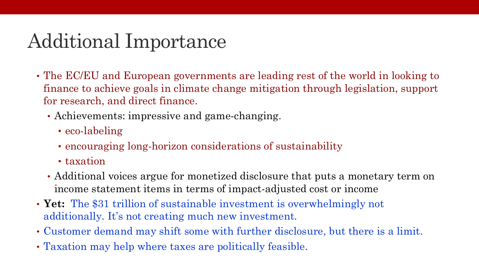## Additional Importance

- The EC/EU and European governments are leading rest of the world in looking to finance to achieve goals in climate change mitigation through legislation, support for research, and direct finance.
	- Achievements: impressive and game-changing.
		- eco-labeling
		- encouraging long-horizon considerations of sustainability
		- taxation
	- Additional voices argue for monetized disclosure that puts a monetary term on income statement items in terms of impact-adjusted cost or income
- **Yet:** The \$31 trillion of sustainable investment is overwhelmingly not additionally. It's not creating much new investment.
- Customer demand may shift some with further disclosure, but there is a limit.
- Taxation may help where taxes are politically feasible.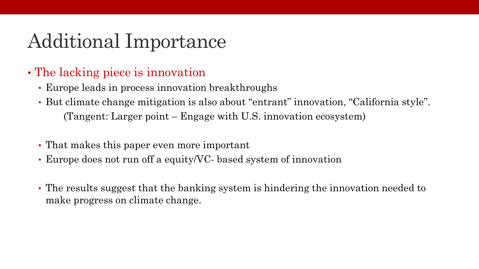## Additional Importance

- The lacking piece is innovation
	- Europe leads in process innovation breakthroughs
	- But climate change mitigation is also about "entrant" innovation, "California style". (Tangent: Larger point – Engage with U.S. innovation ecosystem)
	- That makes this paper even more important
	- Europe does not run off a equity/VC- based system of innovation
	- The results suggest that the banking system is hindering the innovation needed to make progress on climate change.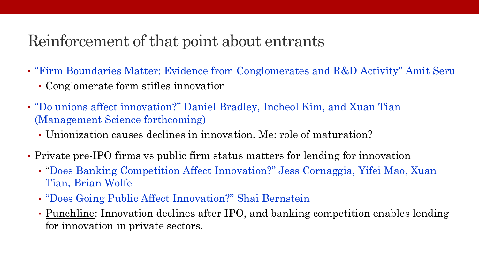#### Reinforcement of that point about entrants

- "Firm Boundaries Matter: Evidence from Conglomerates and R&D Activity" Amit Seru
	- Conglomerate form stifles innovation
- "Do unions affect innovation?" Daniel Bradley, Incheol Kim, and Xuan Tian (Management Science forthcoming)
	- Unionization causes declines in innovation. Me: role of maturation?
- Private pre-IPO firms vs public firm status matters for lending for innovation
	- "Does Banking Competition Affect Innovation?" Jess Cornaggia, Yifei Mao, Xuan Tian, Brian Wolfe
	- "Does Going Public Affect Innovation?" Shai Bernstein
	- Punchline: Innovation declines after IPO, and banking competition enables lending for innovation in private sectors.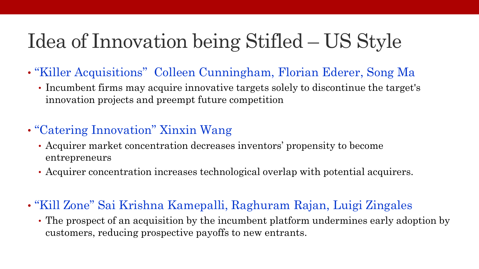# Idea of Innovation being Stifled – US Style

- "Killer Acquisitions" Colleen Cunningham, Florian Ederer, Song Ma
	- Incumbent firms may acquire innovative targets solely to discontinue the target's innovation projects and preempt future competition

#### • "Catering Innovation" Xinxin Wang

- Acquirer market concentration decreases inventors' propensity to become entrepreneurs
- Acquirer concentration increases technological overlap with potential acquirers.
- "Kill Zone" Sai Krishna Kamepalli, Raghuram Rajan, Luigi Zingales
	- The prospect of an acquisition by the incumbent platform undermines early adoption by customers, reducing prospective payoffs to new entrants.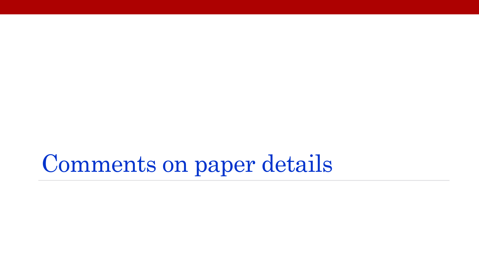Comments on paper details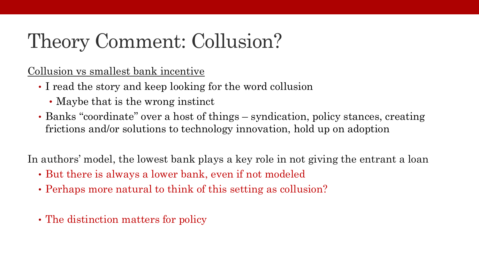# Theory Comment: Collusion?

Collusion vs smallest bank incentive

- I read the story and keep looking for the word collusion
	- Maybe that is the wrong instinct
- Banks "coordinate" over a host of things syndication, policy stances, creating frictions and/or solutions to technology innovation, hold up on adoption

In authors' model, the lowest bank plays a key role in not giving the entrant a loan

- But there is always a lower bank, even if not modeled
- Perhaps more natural to think of this setting as collusion?
- The distinction matters for policy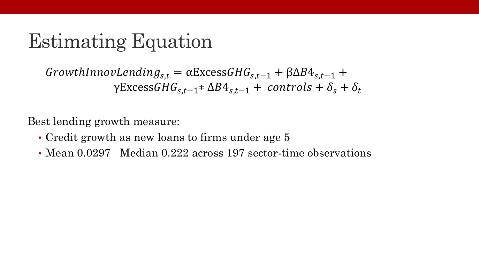## Estimating Equation

 $GrowthInnovLending_{s,t} = \alpha ExcessGHG_{s,t-1} + \beta \Delta B4_{s,t-1} +$  $\gamma$ Excess $GHG_{s,t-1}*\Delta B4_{s,t-1}+ controls+\delta_s+\delta_t$ 

Best lending growth measure:

- Credit growth as new loans to firms under age 5
- Mean 0.0297 Median 0.222 across 197 sector-time observations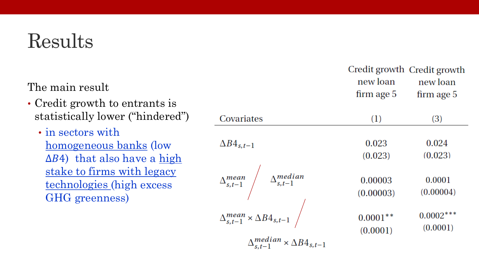### Results

The main result

- Credit growth to entrants is statistically lower ("hindered")
	- in sectors with homogeneous banks (low  $\Delta B$ 4) that also have a high stake to firms with legacy technologies (high excess GHG greenness)

|                                                                                               | new loan<br>firm age 5 | Credit growth Credit growth<br>new loan<br>firm age 5 |
|-----------------------------------------------------------------------------------------------|------------------------|-------------------------------------------------------|
| Covariates                                                                                    | (1)                    | (3)                                                   |
| $\Delta B4_{s,t-1}$                                                                           | 0.023<br>(0.023)       | 0.024<br>(0.023)                                      |
| $\Delta^{mean}_{s,t-1}$ $\Delta^{median}_{s,t-1}$                                             | 0.00003<br>(0.00003)   | 0.0001<br>(0.00004)                                   |
| $\Delta^{mean}_{s,t-1} \times \Delta B4_{s,t-1} \ \Big/$<br>$\Delta$ median $\Delta$ $\Delta$ | $0.0001**$<br>(0.0001) | $0.0002***$<br>(0.0001)                               |

 $\times \Delta B4_{s,t-1}$  $\Delta_{s,t-1}^{meava}$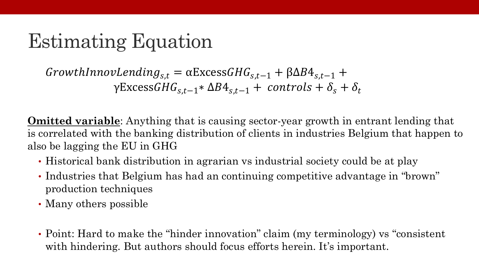# Estimating Equation

 $GrowthInnovLending_{s,t} = \alpha ExcessGHG_{s,t-1} + \beta \Delta B4_{s,t-1} +$  $\gamma$ Excess $GHG_{s,t-1}*\Delta B4_{s,t-1}+ controls+\delta_s+\delta_t$ 

**Omitted variable**: Anything that is causing sector-year growth in entrant lending that is correlated with the banking distribution of clients in industries Belgium that happen to also be lagging the EU in GHG

- Historical bank distribution in agrarian vs industrial society could be at play
- Industries that Belgium has had an continuing competitive advantage in "brown" production techniques
- Many others possible
- Point: Hard to make the "hinder innovation" claim (my terminology) vs "consistent with hindering. But authors should focus efforts herein. It's important.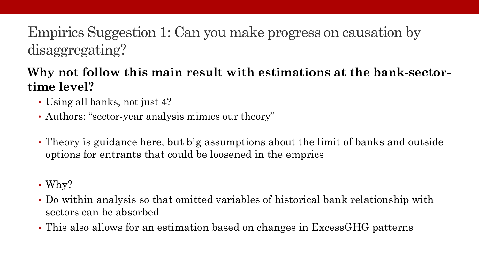#### Empirics Suggestion 1: Can you make progress on causation by disaggregating?

#### **Why not follow this main result with estimations at the bank-sectortime level?**

- Using all banks, not just 4?
- Authors: "sector-year analysis mimics our theory"
- Theory is guidance here, but big assumptions about the limit of banks and outside options for entrants that could be loosened in the emprics
- Why?
- Do within analysis so that omitted variables of historical bank relationship with sectors can be absorbed
- This also allows for an estimation based on changes in ExcessGHG patterns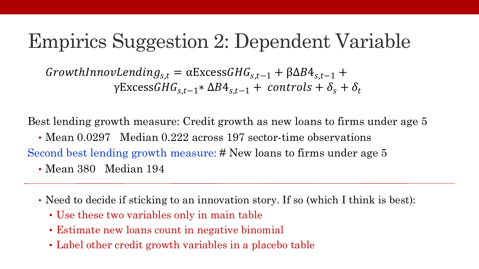### Empirics Suggestion 2: Dependent Variable

 $GrowthInnovLending_{s,t} = \alpha ExcessGHG_{s,t-1} + \beta \Delta B4_{s,t-1} +$  $\gamma$ Excess $GHG_{s,t-1}*\Delta B4_{s,t-1}+ controls+\delta_s+\delta_t$ 

Best lending growth measure: Credit growth as new loans to firms under age 5

• Mean 0.0297 Median 0.222 across 197 sector-time observations Second best lending growth measure: # New loans to firms under age 5 • Mean 380 Median 194

- Need to decide if sticking to an innovation story. If so (which I think is best):
	- Use these two variables only in main table
	- Estimate new loans count in negative binomial
	- Label other credit growth variables in a placebo table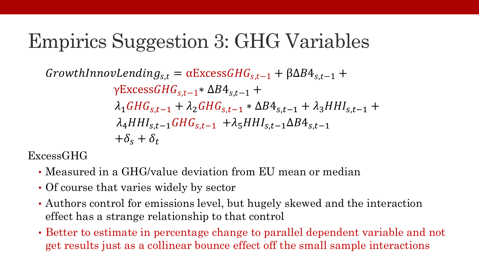## Empirics Suggestion 3: GHG Variables

 $GrowthInnovLending_{s,t} = \alpha ExcessGHG_{s,t-1} + \beta \Delta B4_{s,t-1} +$  $\gamma$ Excess $GHG_{s,t-1}*\Delta B4_{s,t-1} +$  $\lambda_1 GHG_{s,t-1} + \lambda_2 GHG_{s,t-1} * \Delta B4_{s,t-1} + \lambda_3 HHI_{s,t-1} +$  $\lambda_4 H H I_{s,t-1} G H G_{s,t-1} + \lambda_5 H H I_{s,t-1} \Delta B A_{s,t-1}$  $+\delta_{\rm s}+\delta_{\rm r}$ 

ExcessGHG

- Measured in a GHG/value deviation from EU mean or median
- Of course that varies widely by sector
- Authors control for emissions level, but hugely skewed and the interaction effect has a strange relationship to that control
- Better to estimate in percentage change to parallel dependent variable and not get results just as a collinear bounce effect off the small sample interactions